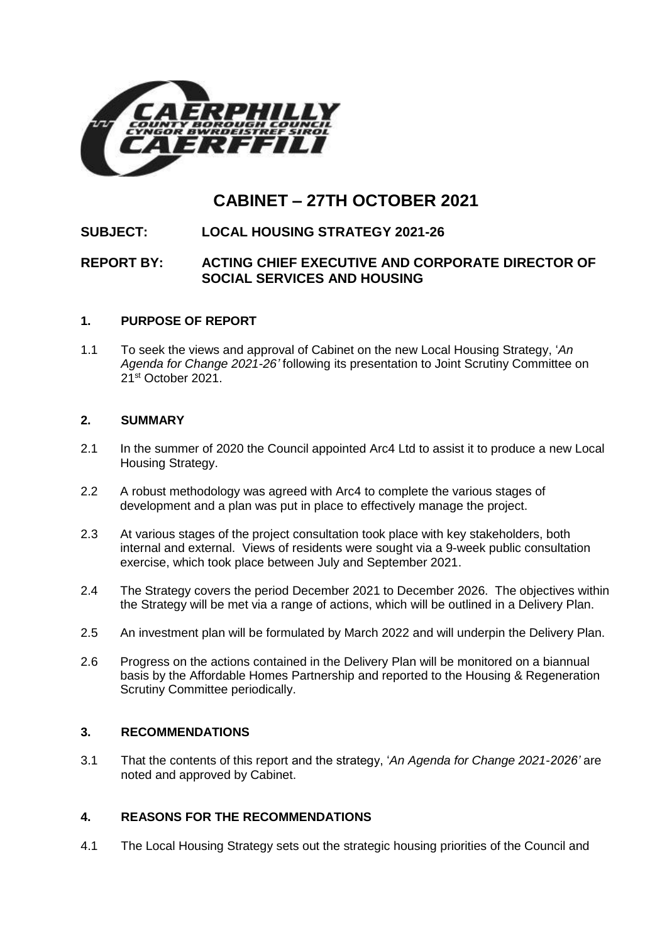

# **CABINET – 27TH OCTOBER 2021**

## **SUBJECT: LOCAL HOUSING STRATEGY 2021-26**

## **REPORT BY: ACTING CHIEF EXECUTIVE AND CORPORATE DIRECTOR OF SOCIAL SERVICES AND HOUSING**

## **1. PURPOSE OF REPORT**

1.1 To seek the views and approval of Cabinet on the new Local Housing Strategy, '*An Agenda for Change 2021-26'* following its presentation to Joint Scrutiny Committee on 21st October 2021.

### **2. SUMMARY**

- 2.1 In the summer of 2020 the Council appointed Arc4 Ltd to assist it to produce a new Local Housing Strategy.
- 2.2 A robust methodology was agreed with Arc4 to complete the various stages of development and a plan was put in place to effectively manage the project.
- 2.3 At various stages of the project consultation took place with key stakeholders, both internal and external. Views of residents were sought via a 9-week public consultation exercise, which took place between July and September 2021.
- 2.4 The Strategy covers the period December 2021 to December 2026. The objectives within the Strategy will be met via a range of actions, which will be outlined in a Delivery Plan.
- 2.5 An investment plan will be formulated by March 2022 and will underpin the Delivery Plan.
- 2.6 Progress on the actions contained in the Delivery Plan will be monitored on a biannual basis by the Affordable Homes Partnership and reported to the Housing & Regeneration Scrutiny Committee periodically.

## **3. RECOMMENDATIONS**

3.1 That the contents of this report and the strategy, '*An Agenda for Change 2021-2026'* are noted and approved by Cabinet.

## **4. REASONS FOR THE RECOMMENDATIONS**

4.1 The Local Housing Strategy sets out the strategic housing priorities of the Council and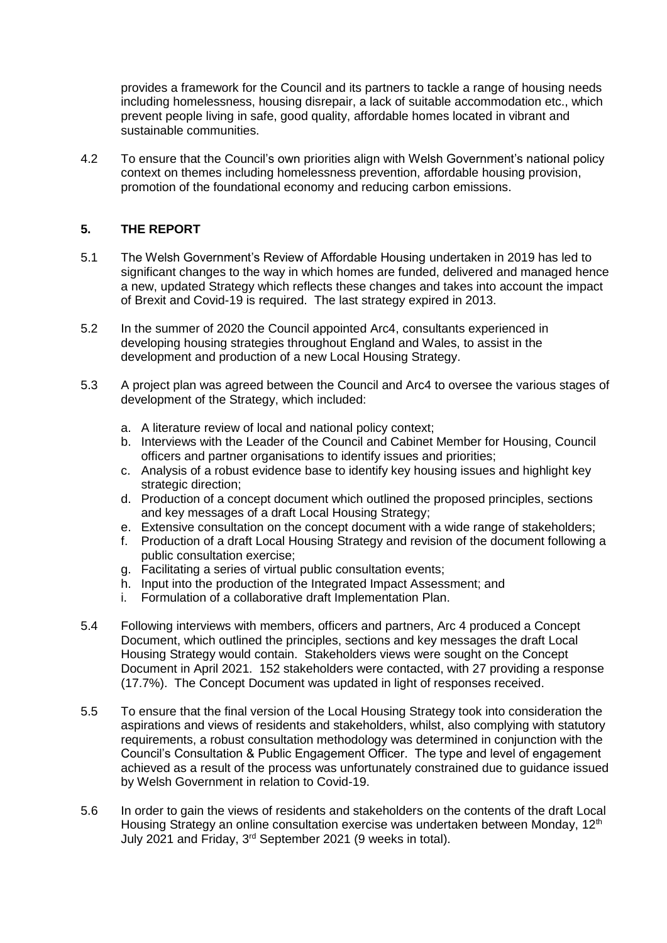provides a framework for the Council and its partners to tackle a range of housing needs including homelessness, housing disrepair, a lack of suitable accommodation etc., which prevent people living in safe, good quality, affordable homes located in vibrant and sustainable communities.

4.2 To ensure that the Council's own priorities align with Welsh Government's national policy context on themes including homelessness prevention, affordable housing provision, promotion of the foundational economy and reducing carbon emissions.

## **5. THE REPORT**

- 5.1 The Welsh Government's Review of Affordable Housing undertaken in 2019 has led to significant changes to the way in which homes are funded, delivered and managed hence a new, updated Strategy which reflects these changes and takes into account the impact of Brexit and Covid-19 is required. The last strategy expired in 2013.
- 5.2 In the summer of 2020 the Council appointed Arc4, consultants experienced in developing housing strategies throughout England and Wales, to assist in the development and production of a new Local Housing Strategy.
- 5.3 A project plan was agreed between the Council and Arc4 to oversee the various stages of development of the Strategy, which included:
	- a. A literature review of local and national policy context;
	- b. Interviews with the Leader of the Council and Cabinet Member for Housing, Council officers and partner organisations to identify issues and priorities;
	- c. Analysis of a robust evidence base to identify key housing issues and highlight key strategic direction;
	- d. Production of a concept document which outlined the proposed principles, sections and key messages of a draft Local Housing Strategy;
	- e. Extensive consultation on the concept document with a wide range of stakeholders;
	- f. Production of a draft Local Housing Strategy and revision of the document following a public consultation exercise;
	- g. Facilitating a series of virtual public consultation events;
	- h. Input into the production of the Integrated Impact Assessment; and
	- i. Formulation of a collaborative draft Implementation Plan.
- 5.4 Following interviews with members, officers and partners, Arc 4 produced a Concept Document, which outlined the principles, sections and key messages the draft Local Housing Strategy would contain. Stakeholders views were sought on the Concept Document in April 2021. 152 stakeholders were contacted, with 27 providing a response (17.7%). The Concept Document was updated in light of responses received.
- 5.5 To ensure that the final version of the Local Housing Strategy took into consideration the aspirations and views of residents and stakeholders, whilst, also complying with statutory requirements, a robust consultation methodology was determined in conjunction with the Council's Consultation & Public Engagement Officer. The type and level of engagement achieved as a result of the process was unfortunately constrained due to guidance issued by Welsh Government in relation to Covid-19.
- 5.6 In order to gain the views of residents and stakeholders on the contents of the draft Local Housing Strategy an online consultation exercise was undertaken between Monday, 12<sup>th</sup> July 2021 and Friday, 3rd September 2021 (9 weeks in total).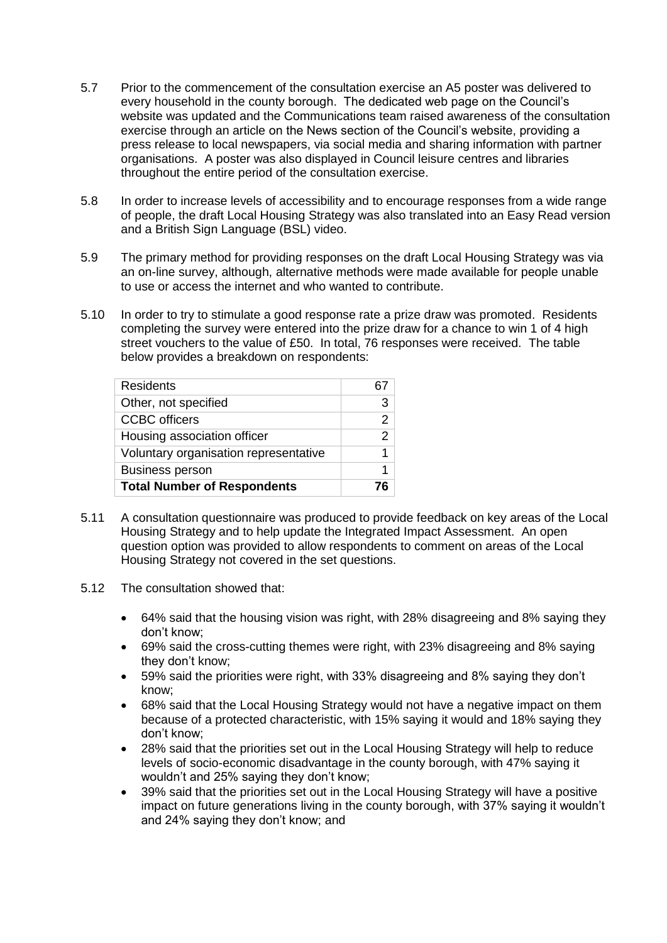- 5.7 Prior to the commencement of the consultation exercise an A5 poster was delivered to every household in the county borough. The dedicated web page on the Council's website was updated and the Communications team raised awareness of the consultation exercise through an article on the News section of the Council's website, providing a press release to local newspapers, via social media and sharing information with partner organisations. A poster was also displayed in Council leisure centres and libraries throughout the entire period of the consultation exercise.
- 5.8 In order to increase levels of accessibility and to encourage responses from a wide range of people, the draft Local Housing Strategy was also translated into an Easy Read version and a British Sign Language (BSL) video.
- 5.9 The primary method for providing responses on the draft Local Housing Strategy was via an on-line survey, although, alternative methods were made available for people unable to use or access the internet and who wanted to contribute.
- 5.10 In order to try to stimulate a good response rate a prize draw was promoted. Residents completing the survey were entered into the prize draw for a chance to win 1 of 4 high street vouchers to the value of £50. In total, 76 responses were received. The table below provides a breakdown on respondents:

| <b>Residents</b>                      | 67 |
|---------------------------------------|----|
| Other, not specified                  | З  |
| <b>CCBC</b> officers                  | 2  |
| Housing association officer           | 2  |
| Voluntary organisation representative |    |
| <b>Business person</b>                |    |
| <b>Total Number of Respondents</b>    |    |

- 5.11 A consultation questionnaire was produced to provide feedback on key areas of the Local Housing Strategy and to help update the Integrated Impact Assessment. An open question option was provided to allow respondents to comment on areas of the Local Housing Strategy not covered in the set questions.
- 5.12 The consultation showed that:
	- 64% said that the housing vision was right, with 28% disagreeing and 8% saying they don't know;
	- 69% said the cross-cutting themes were right, with 23% disagreeing and 8% saying they don't know;
	- 59% said the priorities were right, with 33% disagreeing and 8% saying they don't know;
	- 68% said that the Local Housing Strategy would not have a negative impact on them because of a protected characteristic, with 15% saying it would and 18% saying they don't know;
	- 28% said that the priorities set out in the Local Housing Strategy will help to reduce levels of socio-economic disadvantage in the county borough, with 47% saying it wouldn't and 25% saying they don't know;
	- 39% said that the priorities set out in the Local Housing Strategy will have a positive impact on future generations living in the county borough, with 37% saying it wouldn't and 24% saying they don't know; and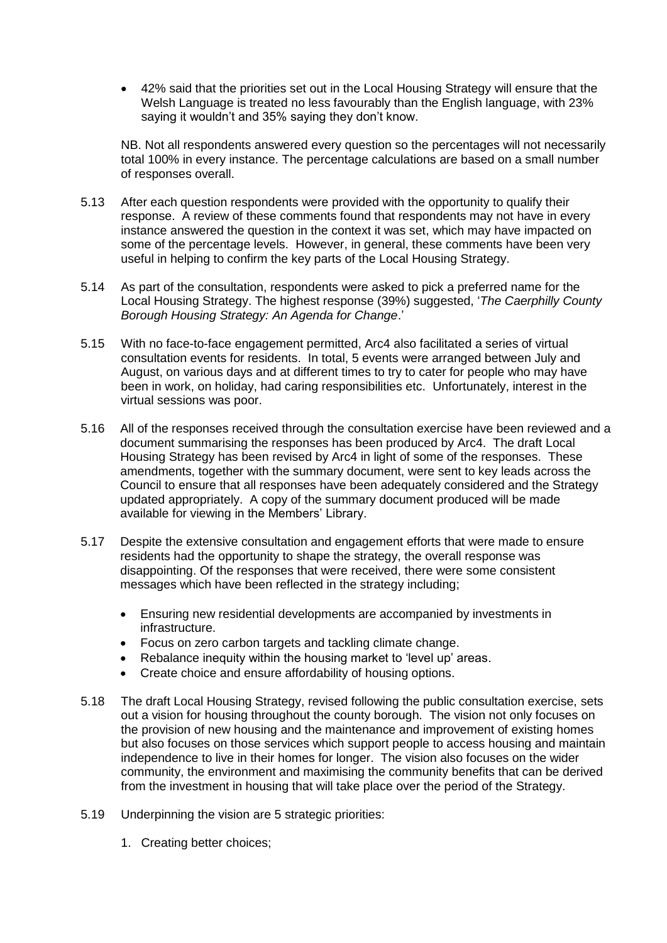42% said that the priorities set out in the Local Housing Strategy will ensure that the Welsh Language is treated no less favourably than the English language, with 23% saying it wouldn't and 35% saying they don't know.

NB. Not all respondents answered every question so the percentages will not necessarily total 100% in every instance. The percentage calculations are based on a small number of responses overall.

- 5.13 After each question respondents were provided with the opportunity to qualify their response. A review of these comments found that respondents may not have in every instance answered the question in the context it was set, which may have impacted on some of the percentage levels. However, in general, these comments have been very useful in helping to confirm the key parts of the Local Housing Strategy.
- 5.14 As part of the consultation, respondents were asked to pick a preferred name for the Local Housing Strategy. The highest response (39%) suggested, '*The Caerphilly County Borough Housing Strategy: An Agenda for Change*.'
- 5.15 With no face-to-face engagement permitted, Arc4 also facilitated a series of virtual consultation events for residents. In total, 5 events were arranged between July and August, on various days and at different times to try to cater for people who may have been in work, on holiday, had caring responsibilities etc. Unfortunately, interest in the virtual sessions was poor.
- 5.16 All of the responses received through the consultation exercise have been reviewed and a document summarising the responses has been produced by Arc4. The draft Local Housing Strategy has been revised by Arc4 in light of some of the responses. These amendments, together with the summary document, were sent to key leads across the Council to ensure that all responses have been adequately considered and the Strategy updated appropriately. A copy of the summary document produced will be made available for viewing in the Members' Library.
- 5.17 Despite the extensive consultation and engagement efforts that were made to ensure residents had the opportunity to shape the strategy, the overall response was disappointing. Of the responses that were received, there were some consistent messages which have been reflected in the strategy including;
	- Ensuring new residential developments are accompanied by investments in infrastructure.
	- Focus on zero carbon targets and tackling climate change.
	- Rebalance inequity within the housing market to 'level up' areas.
	- Create choice and ensure affordability of housing options.
- 5.18 The draft Local Housing Strategy, revised following the public consultation exercise, sets out a vision for housing throughout the county borough. The vision not only focuses on the provision of new housing and the maintenance and improvement of existing homes but also focuses on those services which support people to access housing and maintain independence to live in their homes for longer. The vision also focuses on the wider community, the environment and maximising the community benefits that can be derived from the investment in housing that will take place over the period of the Strategy.
- 5.19 Underpinning the vision are 5 strategic priorities:
	- 1. Creating better choices;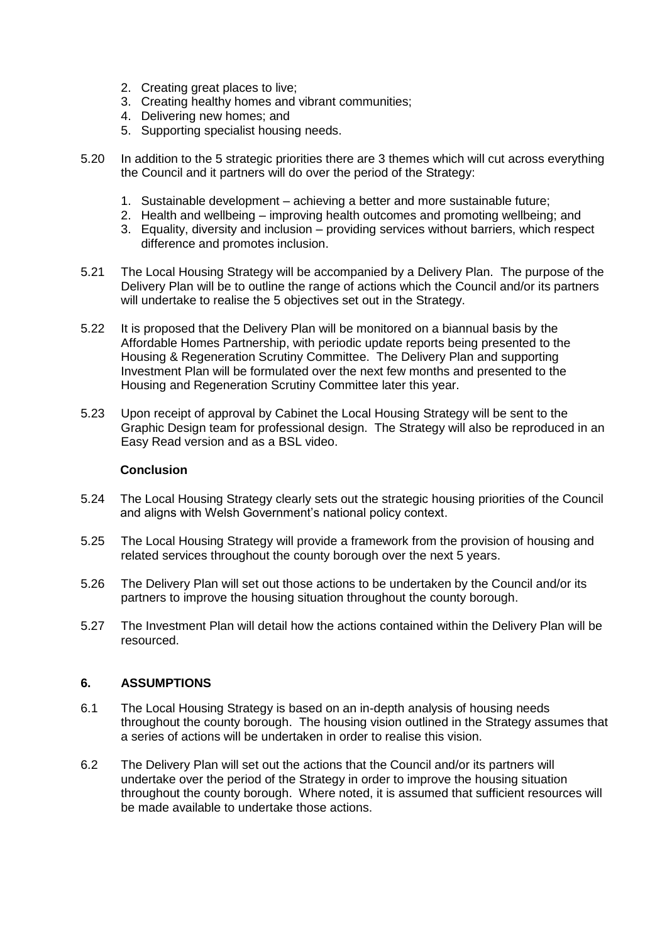- 2. Creating great places to live;
- 3. Creating healthy homes and vibrant communities;
- 4. Delivering new homes; and
- 5. Supporting specialist housing needs.
- 5.20 In addition to the 5 strategic priorities there are 3 themes which will cut across everything the Council and it partners will do over the period of the Strategy:
	- 1. Sustainable development achieving a better and more sustainable future;
	- 2. Health and wellbeing improving health outcomes and promoting wellbeing; and
	- 3. Equality, diversity and inclusion providing services without barriers, which respect difference and promotes inclusion.
- 5.21 The Local Housing Strategy will be accompanied by a Delivery Plan. The purpose of the Delivery Plan will be to outline the range of actions which the Council and/or its partners will undertake to realise the 5 objectives set out in the Strategy.
- 5.22 It is proposed that the Delivery Plan will be monitored on a biannual basis by the Affordable Homes Partnership, with periodic update reports being presented to the Housing & Regeneration Scrutiny Committee. The Delivery Plan and supporting Investment Plan will be formulated over the next few months and presented to the Housing and Regeneration Scrutiny Committee later this year.
- 5.23 Upon receipt of approval by Cabinet the Local Housing Strategy will be sent to the Graphic Design team for professional design. The Strategy will also be reproduced in an Easy Read version and as a BSL video.

#### **Conclusion**

- 5.24 The Local Housing Strategy clearly sets out the strategic housing priorities of the Council and aligns with Welsh Government's national policy context.
- 5.25 The Local Housing Strategy will provide a framework from the provision of housing and related services throughout the county borough over the next 5 years.
- 5.26 The Delivery Plan will set out those actions to be undertaken by the Council and/or its partners to improve the housing situation throughout the county borough.
- 5.27 The Investment Plan will detail how the actions contained within the Delivery Plan will be resourced.

#### **6. ASSUMPTIONS**

- 6.1 The Local Housing Strategy is based on an in-depth analysis of housing needs throughout the county borough. The housing vision outlined in the Strategy assumes that a series of actions will be undertaken in order to realise this vision.
- 6.2 The Delivery Plan will set out the actions that the Council and/or its partners will undertake over the period of the Strategy in order to improve the housing situation throughout the county borough. Where noted, it is assumed that sufficient resources will be made available to undertake those actions.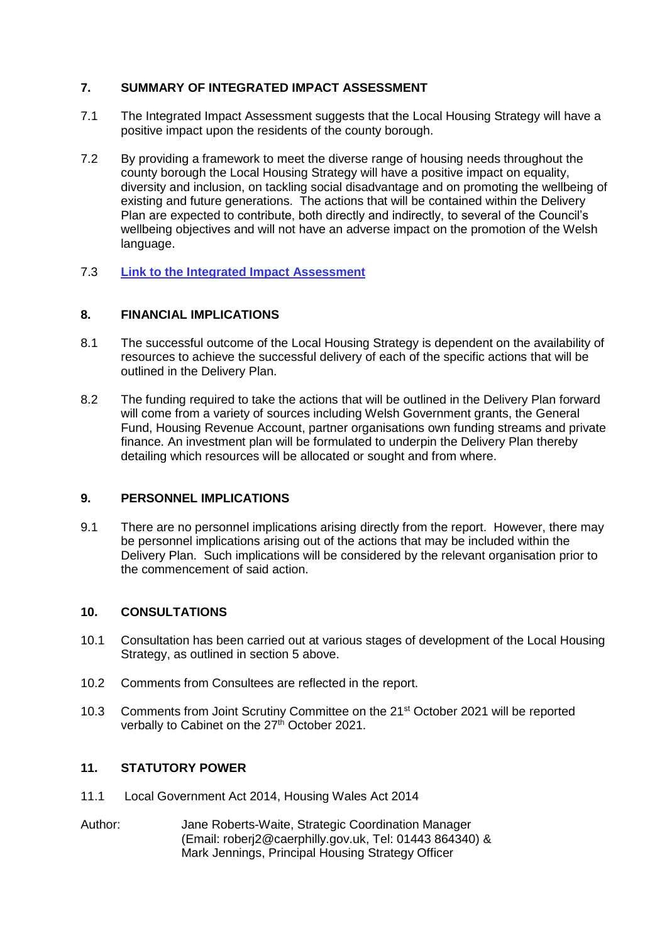## **7. SUMMARY OF INTEGRATED IMPACT ASSESSMENT**

- 7.1 The Integrated Impact Assessment suggests that the Local Housing Strategy will have a positive impact upon the residents of the county borough.
- 7.2 By providing a framework to meet the diverse range of housing needs throughout the county borough the Local Housing Strategy will have a positive impact on equality, diversity and inclusion, on tackling social disadvantage and on promoting the wellbeing of existing and future generations. The actions that will be contained within the Delivery Plan are expected to contribute, both directly and indirectly, to several of the Council's wellbeing objectives and will not have an adverse impact on the promotion of the Welsh language.
- 7.3 **[Link to the Integrated Impact Assessment](https://www.caerphilly.gov.uk/CaerphillyDocs/IIA/iia-form-strategy-development-caerphilly-homes)**

## **8. FINANCIAL IMPLICATIONS**

- 8.1 The successful outcome of the Local Housing Strategy is dependent on the availability of resources to achieve the successful delivery of each of the specific actions that will be outlined in the Delivery Plan.
- 8.2 The funding required to take the actions that will be outlined in the Delivery Plan forward will come from a variety of sources including Welsh Government grants, the General Fund, Housing Revenue Account, partner organisations own funding streams and private finance. An investment plan will be formulated to underpin the Delivery Plan thereby detailing which resources will be allocated or sought and from where.

#### **9. PERSONNEL IMPLICATIONS**

9.1 There are no personnel implications arising directly from the report. However, there may be personnel implications arising out of the actions that may be included within the Delivery Plan. Such implications will be considered by the relevant organisation prior to the commencement of said action.

#### **10. CONSULTATIONS**

- 10.1 Consultation has been carried out at various stages of development of the Local Housing Strategy, as outlined in section 5 above.
- 10.2 Comments from Consultees are reflected in the report.
- 10.3 Comments from Joint Scrutiny Committee on the 21<sup>st</sup> October 2021 will be reported verbally to Cabinet on the 27<sup>th</sup> October 2021.

#### **11. STATUTORY POWER**

- 11.1 Local Government Act 2014, Housing Wales Act 2014
- Author: Jane Roberts-Waite, Strategic Coordination Manager (Email: [roberj2@caerphilly.gov.uk,](mailto:roberj2@caerphilly.gov.uk) Tel: 01443 864340) & Mark Jennings, Principal Housing Strategy Officer